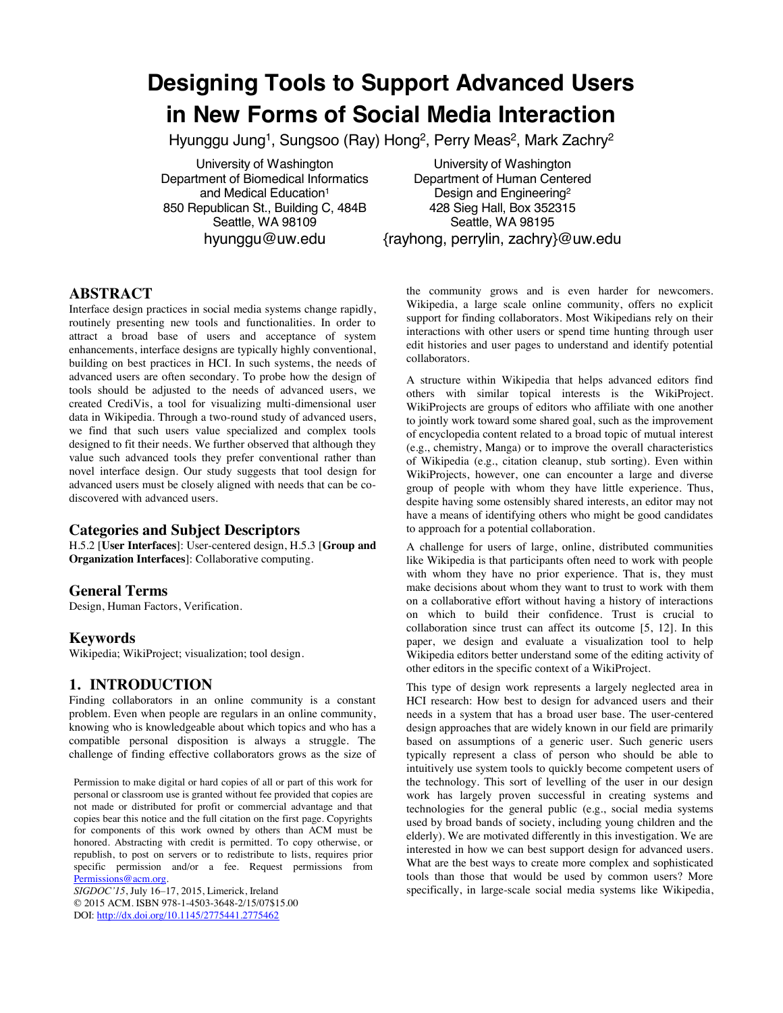# **Designing Tools to Support Advanced Users in New Forms of Social Media Interaction**

Hyunggu Jung<sup>1</sup>, Sungsoo (Ray) Hong<sup>2</sup>, Perry Meas<sup>2</sup>, Mark Zachry<sup>2</sup>

University of Washington Department of Biomedical Informatics and Medical Education<sup>1</sup> 850 Republican St., Building C, 484B Seattle, WA 98109 hyunggu@uw.edu

University of Washington Department of Human Centered Design and Engineering2 428 Sieg Hall, Box 352315 Seattle, WA 98195 {rayhong, perrylin, zachry}@uw.edu

# **ABSTRACT**

Interface design practices in social media systems change rapidly, routinely presenting new tools and functionalities. In order to attract a broad base of users and acceptance of system enhancements, interface designs are typically highly conventional, building on best practices in HCI. In such systems, the needs of advanced users are often secondary. To probe how the design of tools should be adjusted to the needs of advanced users, we created CrediVis, a tool for visualizing multi-dimensional user data in Wikipedia. Through a two-round study of advanced users, we find that such users value specialized and complex tools designed to fit their needs. We further observed that although they value such advanced tools they prefer conventional rather than novel interface design. Our study suggests that tool design for advanced users must be closely aligned with needs that can be codiscovered with advanced users.

#### **Categories and Subject Descriptors**

H.5.2 [**User Interfaces**]: User-centered design, H.5.3 [**Group and Organization Interfaces**]: Collaborative computing.

#### **General Terms**

Design, Human Factors, Verification.

#### **Keywords**

Wikipedia; WikiProject; visualization; tool design.

#### **1. INTRODUCTION**

Finding collaborators in an online community is a constant problem. Even when people are regulars in an online community, knowing who is knowledgeable about which topics and who has a compatible personal disposition is always a struggle. The challenge of finding effective collaborators grows as the size of

Permission to make digital or hard copies of all or part of this work for personal or classroom use is granted without fee provided that copies are not made or distributed for profit or commercial advantage and that copies bear this notice and the full citation on the first page. Copyrights for components of this work owned by others than ACM must be honored. Abstracting with credit is permitted. To copy otherwise, or republish, to post on servers or to redistribute to lists, requires prior specific permission and/or a fee. Request permissions from [Permissions@acm.org.](mailto:Permissions@acm.org)

*SIGDOC'15*, July 16–17, 2015, Limerick, Ireland © 2015 ACM. ISBN 978-1-4503-3648-2/15/07\$15.00 DOI:<http://dx.doi.org/10.1145/2775441.2775462>

the community grows and is even harder for newcomers. Wikipedia, a large scale online community, offers no explicit support for finding collaborators. Most Wikipedians rely on their interactions with other users or spend time hunting through user edit histories and user pages to understand and identify potential collaborators.

A structure within Wikipedia that helps advanced editors find others with similar topical interests is the WikiProject. WikiProjects are groups of editors who affiliate with one another to jointly work toward some shared goal, such as the improvement of encyclopedia content related to a broad topic of mutual interest (e.g., chemistry, Manga) or to improve the overall characteristics of Wikipedia (e.g., citation cleanup, stub sorting). Even within WikiProjects, however, one can encounter a large and diverse group of people with whom they have little experience. Thus, despite having some ostensibly shared interests, an editor may not have a means of identifying others who might be good candidates to approach for a potential collaboration.

A challenge for users of large, online, distributed communities like Wikipedia is that participants often need to work with people with whom they have no prior experience. That is, they must make decisions about whom they want to trust to work with them on a collaborative effort without having a history of interactions on which to build their confidence. Trust is crucial to collaboration since trust can affect its outcome [5, 12]. In this paper, we design and evaluate a visualization tool to help Wikipedia editors better understand some of the editing activity of other editors in the specific context of a WikiProject.

This type of design work represents a largely neglected area in HCI research: How best to design for advanced users and their needs in a system that has a broad user base. The user-centered design approaches that are widely known in our field are primarily based on assumptions of a generic user. Such generic users typically represent a class of person who should be able to intuitively use system tools to quickly become competent users of the technology. This sort of levelling of the user in our design work has largely proven successful in creating systems and technologies for the general public (e.g., social media systems used by broad bands of society, including young children and the elderly). We are motivated differently in this investigation. We are interested in how we can best support design for advanced users. What are the best ways to create more complex and sophisticated tools than those that would be used by common users? More specifically, in large-scale social media systems like Wikipedia,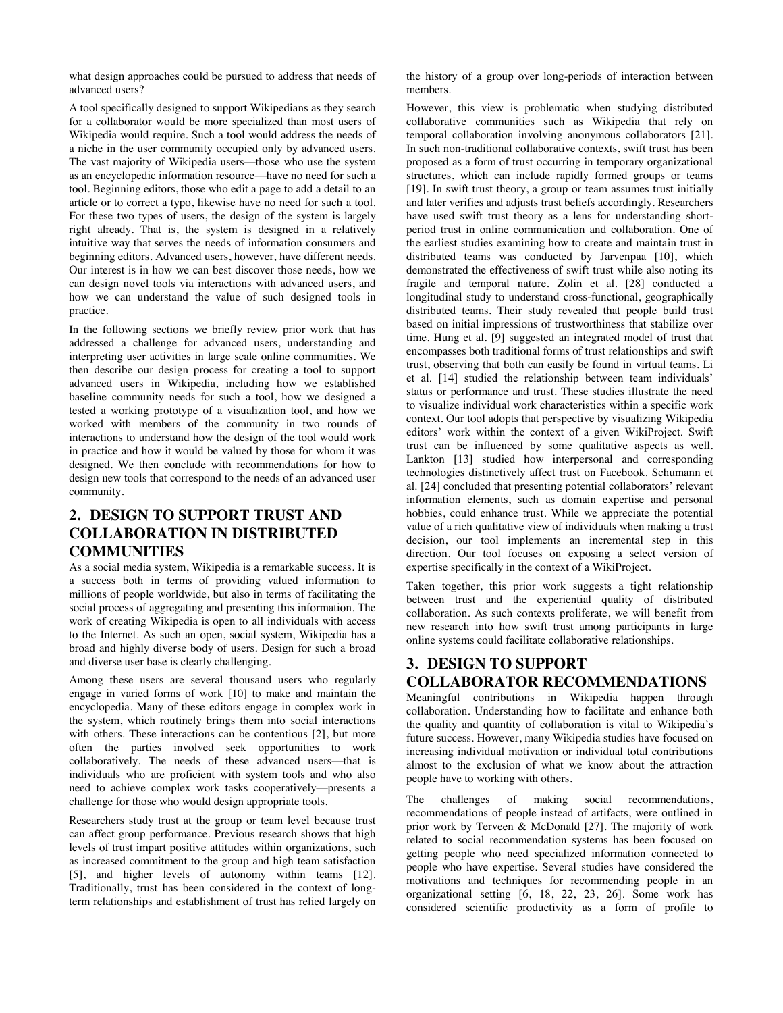what design approaches could be pursued to address that needs of advanced users?

A tool specifically designed to support Wikipedians as they search for a collaborator would be more specialized than most users of Wikipedia would require. Such a tool would address the needs of a niche in the user community occupied only by advanced users. The vast majority of Wikipedia users—those who use the system as an encyclopedic information resource—have no need for such a tool. Beginning editors, those who edit a page to add a detail to an article or to correct a typo, likewise have no need for such a tool. For these two types of users, the design of the system is largely right already. That is, the system is designed in a relatively intuitive way that serves the needs of information consumers and beginning editors. Advanced users, however, have different needs. Our interest is in how we can best discover those needs, how we can design novel tools via interactions with advanced users, and how we can understand the value of such designed tools in practice.

In the following sections we briefly review prior work that has addressed a challenge for advanced users, understanding and interpreting user activities in large scale online communities. We then describe our design process for creating a tool to support advanced users in Wikipedia, including how we established baseline community needs for such a tool, how we designed a tested a working prototype of a visualization tool, and how we worked with members of the community in two rounds of interactions to understand how the design of the tool would work in practice and how it would be valued by those for whom it was designed. We then conclude with recommendations for how to design new tools that correspond to the needs of an advanced user community.

# **2. DESIGN TO SUPPORT TRUST AND COLLABORATION IN DISTRIBUTED COMMUNITIES**

As a social media system, Wikipedia is a remarkable success. It is a success both in terms of providing valued information to millions of people worldwide, but also in terms of facilitating the social process of aggregating and presenting this information. The work of creating Wikipedia is open to all individuals with access to the Internet. As such an open, social system, Wikipedia has a broad and highly diverse body of users. Design for such a broad and diverse user base is clearly challenging.

Among these users are several thousand users who regularly engage in varied forms of work [10] to make and maintain the encyclopedia. Many of these editors engage in complex work in the system, which routinely brings them into social interactions with others. These interactions can be contentious [2], but more often the parties involved seek opportunities to work collaboratively. The needs of these advanced users—that is individuals who are proficient with system tools and who also need to achieve complex work tasks cooperatively—presents a challenge for those who would design appropriate tools.

Researchers study trust at the group or team level because trust can affect group performance. Previous research shows that high levels of trust impart positive attitudes within organizations, such as increased commitment to the group and high team satisfaction [5], and higher levels of autonomy within teams [12]. Traditionally, trust has been considered in the context of longterm relationships and establishment of trust has relied largely on

the history of a group over long-periods of interaction between members.

However, this view is problematic when studying distributed collaborative communities such as Wikipedia that rely on temporal collaboration involving anonymous collaborators [21]. In such non-traditional collaborative contexts, swift trust has been proposed as a form of trust occurring in temporary organizational structures, which can include rapidly formed groups or teams [19]. In swift trust theory, a group or team assumes trust initially and later verifies and adjusts trust beliefs accordingly. Researchers have used swift trust theory as a lens for understanding shortperiod trust in online communication and collaboration. One of the earliest studies examining how to create and maintain trust in distributed teams was conducted by Jarvenpaa [10], which demonstrated the effectiveness of swift trust while also noting its fragile and temporal nature. Zolin et al. [28] conducted a longitudinal study to understand cross-functional, geographically distributed teams. Their study revealed that people build trust based on initial impressions of trustworthiness that stabilize over time. Hung et al. [9] suggested an integrated model of trust that encompasses both traditional forms of trust relationships and swift trust, observing that both can easily be found in virtual teams. Li et al. [14] studied the relationship between team individuals' status or performance and trust. These studies illustrate the need to visualize individual work characteristics within a specific work context. Our tool adopts that perspective by visualizing Wikipedia editors' work within the context of a given WikiProject. Swift trust can be influenced by some qualitative aspects as well. Lankton [13] studied how interpersonal and corresponding technologies distinctively affect trust on Facebook. Schumann et al. [24] concluded that presenting potential collaborators' relevant information elements, such as domain expertise and personal hobbies, could enhance trust. While we appreciate the potential value of a rich qualitative view of individuals when making a trust decision, our tool implements an incremental step in this direction. Our tool focuses on exposing a select version of expertise specifically in the context of a WikiProject.

Taken together, this prior work suggests a tight relationship between trust and the experiential quality of distributed collaboration. As such contexts proliferate, we will benefit from new research into how swift trust among participants in large online systems could facilitate collaborative relationships.

# **3. DESIGN TO SUPPORT COLLABORATOR RECOMMENDATIONS**

Meaningful contributions in Wikipedia happen through collaboration. Understanding how to facilitate and enhance both the quality and quantity of collaboration is vital to Wikipedia's future success. However, many Wikipedia studies have focused on increasing individual motivation or individual total contributions almost to the exclusion of what we know about the attraction people have to working with others.

The challenges of making social recommendations, recommendations of people instead of artifacts, were outlined in prior work by Terveen & McDonald [27]. The majority of work related to social recommendation systems has been focused on getting people who need specialized information connected to people who have expertise. Several studies have considered the motivations and techniques for recommending people in an organizational setting [6, 18, 22, 23, 26]. Some work has considered scientific productivity as a form of profile to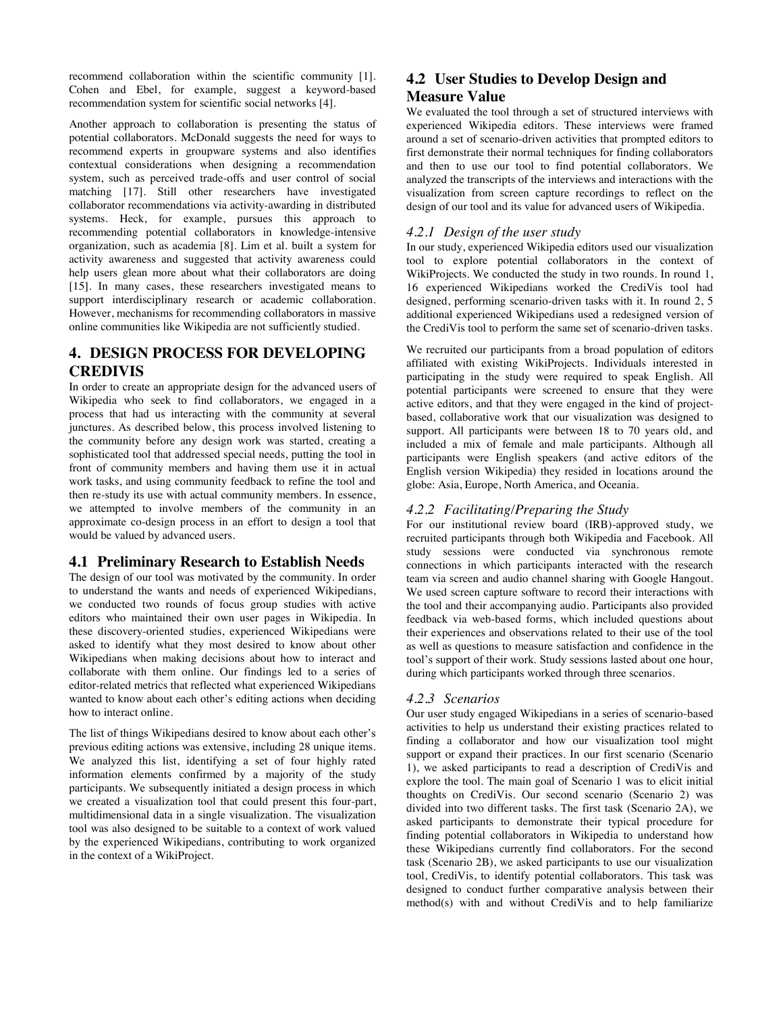recommend collaboration within the scientific community [1]. Cohen and Ebel, for example, suggest a keyword-based recommendation system for scientific social networks [4].

Another approach to collaboration is presenting the status of potential collaborators. McDonald suggests the need for ways to recommend experts in groupware systems and also identifies contextual considerations when designing a recommendation system, such as perceived trade-offs and user control of social matching [17]. Still other researchers have investigated collaborator recommendations via activity-awarding in distributed systems. Heck, for example, pursues this approach to recommending potential collaborators in knowledge-intensive organization, such as academia [8]. Lim et al. built a system for activity awareness and suggested that activity awareness could help users glean more about what their collaborators are doing [15]. In many cases, these researchers investigated means to support interdisciplinary research or academic collaboration. However, mechanisms for recommending collaborators in massive online communities like Wikipedia are not sufficiently studied.

# **4. DESIGN PROCESS FOR DEVELOPING CREDIVIS**

In order to create an appropriate design for the advanced users of Wikipedia who seek to find collaborators, we engaged in a process that had us interacting with the community at several junctures. As described below, this process involved listening to the community before any design work was started, creating a sophisticated tool that addressed special needs, putting the tool in front of community members and having them use it in actual work tasks, and using community feedback to refine the tool and then re-study its use with actual community members. In essence, we attempted to involve members of the community in an approximate co-design process in an effort to design a tool that would be valued by advanced users.

# **4.1 Preliminary Research to Establish Needs**

The design of our tool was motivated by the community. In order to understand the wants and needs of experienced Wikipedians, we conducted two rounds of focus group studies with active editors who maintained their own user pages in Wikipedia. In these discovery-oriented studies, experienced Wikipedians were asked to identify what they most desired to know about other Wikipedians when making decisions about how to interact and collaborate with them online. Our findings led to a series of editor-related metrics that reflected what experienced Wikipedians wanted to know about each other's editing actions when deciding how to interact online.

The list of things Wikipedians desired to know about each other's previous editing actions was extensive, including 28 unique items. We analyzed this list, identifying a set of four highly rated information elements confirmed by a majority of the study participants. We subsequently initiated a design process in which we created a visualization tool that could present this four-part, multidimensional data in a single visualization. The visualization tool was also designed to be suitable to a context of work valued by the experienced Wikipedians, contributing to work organized in the context of a WikiProject.

# **4.2 User Studies to Develop Design and Measure Value**

We evaluated the tool through a set of structured interviews with experienced Wikipedia editors. These interviews were framed around a set of scenario-driven activities that prompted editors to first demonstrate their normal techniques for finding collaborators and then to use our tool to find potential collaborators. We analyzed the transcripts of the interviews and interactions with the visualization from screen capture recordings to reflect on the design of our tool and its value for advanced users of Wikipedia.

## *4.2.1 Design of the user study*

In our study, experienced Wikipedia editors used our visualization tool to explore potential collaborators in the context of WikiProjects. We conducted the study in two rounds. In round 1, 16 experienced Wikipedians worked the CrediVis tool had designed, performing scenario-driven tasks with it. In round 2, 5 additional experienced Wikipedians used a redesigned version of the CrediVis tool to perform the same set of scenario-driven tasks.

We recruited our participants from a broad population of editors affiliated with existing WikiProjects. Individuals interested in participating in the study were required to speak English. All potential participants were screened to ensure that they were active editors, and that they were engaged in the kind of projectbased, collaborative work that our visualization was designed to support. All participants were between 18 to 70 years old, and included a mix of female and male participants. Although all participants were English speakers (and active editors of the English version Wikipedia) they resided in locations around the globe: Asia, Europe, North America, and Oceania.

# *4.2.2 Facilitating/Preparing the Study*

For our institutional review board (IRB)-approved study, we recruited participants through both Wikipedia and Facebook. All study sessions were conducted via synchronous remote connections in which participants interacted with the research team via screen and audio channel sharing with Google Hangout. We used screen capture software to record their interactions with the tool and their accompanying audio. Participants also provided feedback via web-based forms, which included questions about their experiences and observations related to their use of the tool as well as questions to measure satisfaction and confidence in the tool's support of their work. Study sessions lasted about one hour, during which participants worked through three scenarios.

#### *4.2.3 Scenarios*

Our user study engaged Wikipedians in a series of scenario-based activities to help us understand their existing practices related to finding a collaborator and how our visualization tool might support or expand their practices. In our first scenario (Scenario 1), we asked participants to read a description of CrediVis and explore the tool. The main goal of Scenario 1 was to elicit initial thoughts on CrediVis. Our second scenario (Scenario 2) was divided into two different tasks. The first task (Scenario 2A), we asked participants to demonstrate their typical procedure for finding potential collaborators in Wikipedia to understand how these Wikipedians currently find collaborators. For the second task (Scenario 2B), we asked participants to use our visualization tool, CrediVis, to identify potential collaborators. This task was designed to conduct further comparative analysis between their method(s) with and without CrediVis and to help familiarize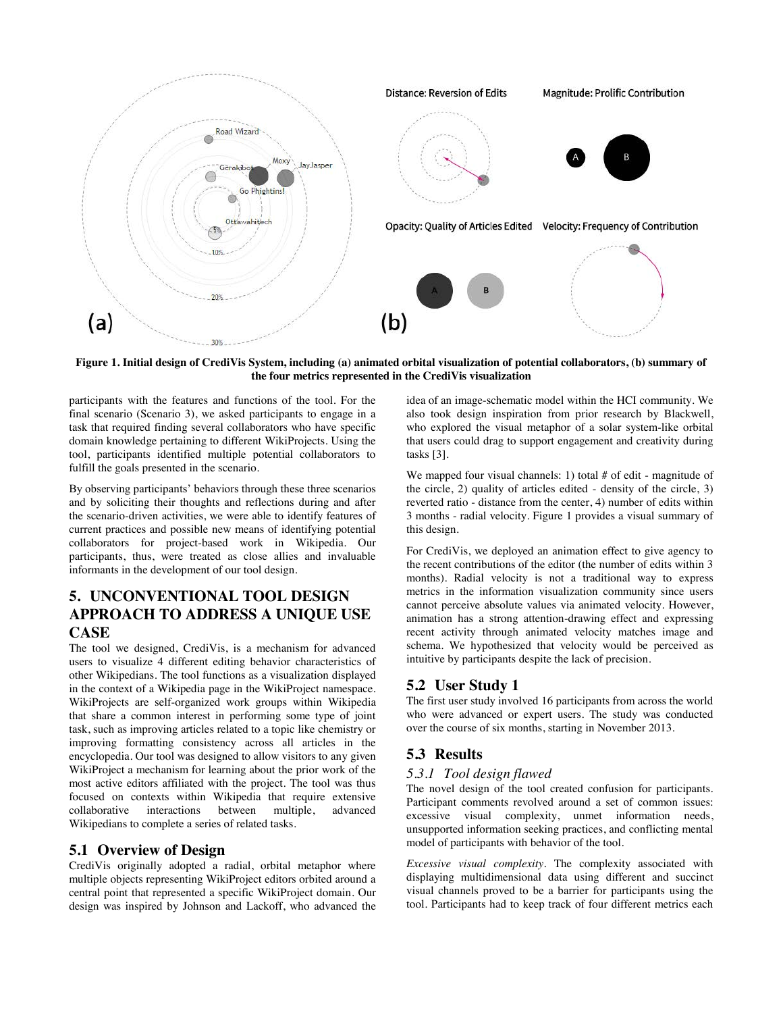

**Figure 1. Initial design of CrediVis System, including (a) animated orbital visualization of potential collaborators, (b) summary of the four metrics represented in the CrediVis visualization**

participants with the features and functions of the tool. For the final scenario (Scenario 3), we asked participants to engage in a task that required finding several collaborators who have specific domain knowledge pertaining to different WikiProjects. Using the tool, participants identified multiple potential collaborators to fulfill the goals presented in the scenario.

By observing participants' behaviors through these three scenarios and by soliciting their thoughts and reflections during and after the scenario-driven activities, we were able to identify features of current practices and possible new means of identifying potential collaborators for project-based work in Wikipedia. Our participants, thus, were treated as close allies and invaluable informants in the development of our tool design.

# **5. UNCONVENTIONAL TOOL DESIGN APPROACH TO ADDRESS A UNIQUE USE CASE**

The tool we designed, CrediVis, is a mechanism for advanced users to visualize 4 different editing behavior characteristics of other Wikipedians. The tool functions as a visualization displayed in the context of a Wikipedia page in the WikiProject namespace. WikiProjects are self-organized work groups within Wikipedia that share a common interest in performing some type of joint task, such as improving articles related to a topic like chemistry or improving formatting consistency across all articles in the encyclopedia. Our tool was designed to allow visitors to any given WikiProject a mechanism for learning about the prior work of the most active editors affiliated with the project. The tool was thus focused on contexts within Wikipedia that require extensive collaborative interactions between multiple, advanced Wikipedians to complete a series of related tasks.

# **5.1 Overview of Design**

CrediVis originally adopted a radial, orbital metaphor where multiple objects representing WikiProject editors orbited around a central point that represented a specific WikiProject domain. Our design was inspired by Johnson and Lackoff, who advanced the

idea of an image-schematic model within the HCI community. We also took design inspiration from prior research by Blackwell, who explored the visual metaphor of a solar system-like orbital that users could drag to support engagement and creativity during tasks [3].

We mapped four visual channels: 1) total # of edit - magnitude of the circle, 2) quality of articles edited - density of the circle, 3) reverted ratio - distance from the center, 4) number of edits within 3 months - radial velocity. Figure 1 provides a visual summary of this design.

For CrediVis, we deployed an animation effect to give agency to the recent contributions of the editor (the number of edits within 3 months). Radial velocity is not a traditional way to express metrics in the information visualization community since users cannot perceive absolute values via animated velocity. However, animation has a strong attention-drawing effect and expressing recent activity through animated velocity matches image and schema. We hypothesized that velocity would be perceived as intuitive by participants despite the lack of precision.

# **5.2 User Study 1**

The first user study involved 16 participants from across the world who were advanced or expert users. The study was conducted over the course of six months, starting in November 2013.

# **5.3 Results**

#### *5.3.1 Tool design flawed*

The novel design of the tool created confusion for participants. Participant comments revolved around a set of common issues: excessive visual complexity, unmet information needs, unsupported information seeking practices, and conflicting mental model of participants with behavior of the tool.

*Excessive visual complexity.* The complexity associated with displaying multidimensional data using different and succinct visual channels proved to be a barrier for participants using the tool. Participants had to keep track of four different metrics each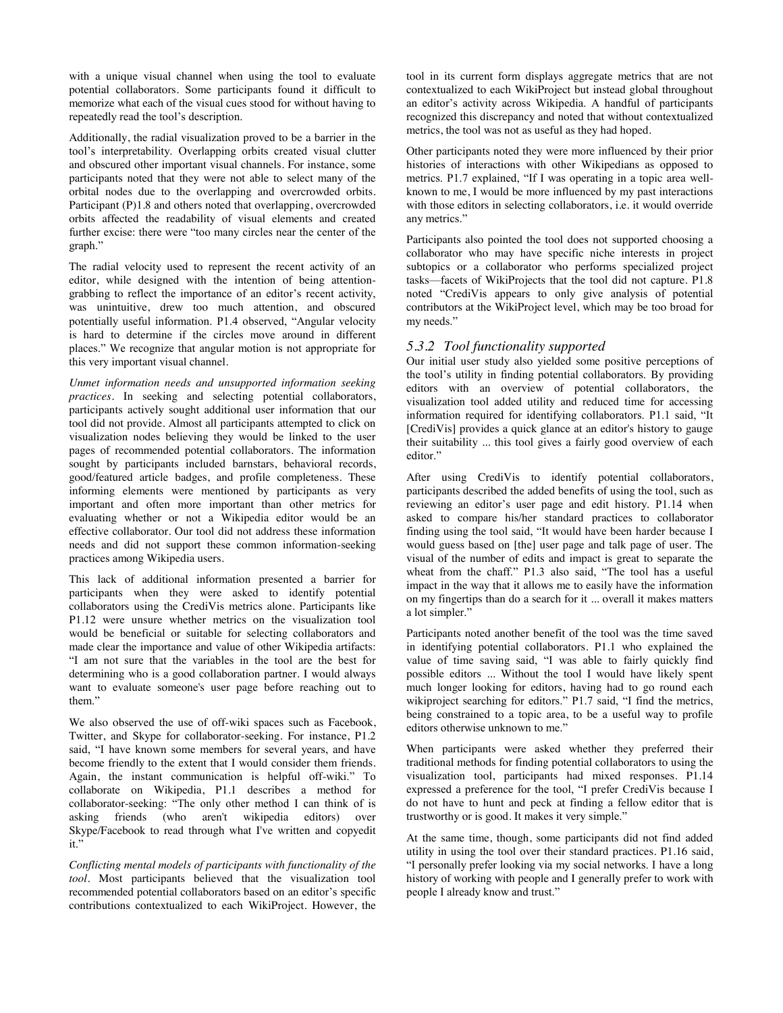with a unique visual channel when using the tool to evaluate potential collaborators. Some participants found it difficult to memorize what each of the visual cues stood for without having to repeatedly read the tool's description.

Additionally, the radial visualization proved to be a barrier in the tool's interpretability. Overlapping orbits created visual clutter and obscured other important visual channels. For instance, some participants noted that they were not able to select many of the orbital nodes due to the overlapping and overcrowded orbits. Participant (P)1.8 and others noted that overlapping, overcrowded orbits affected the readability of visual elements and created further excise: there were "too many circles near the center of the graph."

The radial velocity used to represent the recent activity of an editor, while designed with the intention of being attentiongrabbing to reflect the importance of an editor's recent activity, was unintuitive, drew too much attention, and obscured potentially useful information. P1.4 observed, "Angular velocity is hard to determine if the circles move around in different places." We recognize that angular motion is not appropriate for this very important visual channel.

*Unmet information needs and unsupported information seeking practices.* In seeking and selecting potential collaborators, participants actively sought additional user information that our tool did not provide. Almost all participants attempted to click on visualization nodes believing they would be linked to the user pages of recommended potential collaborators. The information sought by participants included barnstars, behavioral records, good/featured article badges, and profile completeness. These informing elements were mentioned by participants as very important and often more important than other metrics for evaluating whether or not a Wikipedia editor would be an effective collaborator. Our tool did not address these information needs and did not support these common information-seeking practices among Wikipedia users.

This lack of additional information presented a barrier for participants when they were asked to identify potential collaborators using the CrediVis metrics alone. Participants like P1.12 were unsure whether metrics on the visualization tool would be beneficial or suitable for selecting collaborators and made clear the importance and value of other Wikipedia artifacts: "I am not sure that the variables in the tool are the best for determining who is a good collaboration partner. I would always want to evaluate someone's user page before reaching out to them."

We also observed the use of off-wiki spaces such as Facebook, Twitter, and Skype for collaborator-seeking. For instance, P1.2 said, "I have known some members for several years, and have become friendly to the extent that I would consider them friends. Again, the instant communication is helpful off-wiki." To collaborate on Wikipedia, P1.1 describes a method for collaborator-seeking: "The only other method I can think of is asking friends (who aren't wikipedia editors) over Skype/Facebook to read through what I've written and copyedit it."

*Conflicting mental models of participants with functionality of the tool.* Most participants believed that the visualization tool recommended potential collaborators based on an editor's specific contributions contextualized to each WikiProject. However, the

tool in its current form displays aggregate metrics that are not contextualized to each WikiProject but instead global throughout an editor's activity across Wikipedia. A handful of participants recognized this discrepancy and noted that without contextualized metrics, the tool was not as useful as they had hoped.

Other participants noted they were more influenced by their prior histories of interactions with other Wikipedians as opposed to metrics. P1.7 explained, "If I was operating in a topic area wellknown to me, I would be more influenced by my past interactions with those editors in selecting collaborators, i.e. it would override any metrics."

Participants also pointed the tool does not supported choosing a collaborator who may have specific niche interests in project subtopics or a collaborator who performs specialized project tasks—facets of WikiProjects that the tool did not capture. P1.8 noted "CrediVis appears to only give analysis of potential contributors at the WikiProject level, which may be too broad for my needs."

#### *5.3.2 Tool functionality supported*

Our initial user study also yielded some positive perceptions of the tool's utility in finding potential collaborators. By providing editors with an overview of potential collaborators, the visualization tool added utility and reduced time for accessing information required for identifying collaborators. P1.1 said, "It [CrediVis] provides a quick glance at an editor's history to gauge their suitability ... this tool gives a fairly good overview of each editor."

After using CrediVis to identify potential collaborators, participants described the added benefits of using the tool, such as reviewing an editor's user page and edit history. P1.14 when asked to compare his/her standard practices to collaborator finding using the tool said, "It would have been harder because I would guess based on [the] user page and talk page of user. The visual of the number of edits and impact is great to separate the wheat from the chaff." P1.3 also said, "The tool has a useful impact in the way that it allows me to easily have the information on my fingertips than do a search for it ... overall it makes matters a lot simpler."

Participants noted another benefit of the tool was the time saved in identifying potential collaborators. P1.1 who explained the value of time saving said, "I was able to fairly quickly find possible editors ... Without the tool I would have likely spent much longer looking for editors, having had to go round each wikiproject searching for editors." P1.7 said, "I find the metrics, being constrained to a topic area, to be a useful way to profile editors otherwise unknown to me."

When participants were asked whether they preferred their traditional methods for finding potential collaborators to using the visualization tool, participants had mixed responses. P1.14 expressed a preference for the tool, "I prefer CrediVis because I do not have to hunt and peck at finding a fellow editor that is trustworthy or is good. It makes it very simple."

At the same time, though, some participants did not find added utility in using the tool over their standard practices. P1.16 said, "I personally prefer looking via my social networks. I have a long history of working with people and I generally prefer to work with people I already know and trust."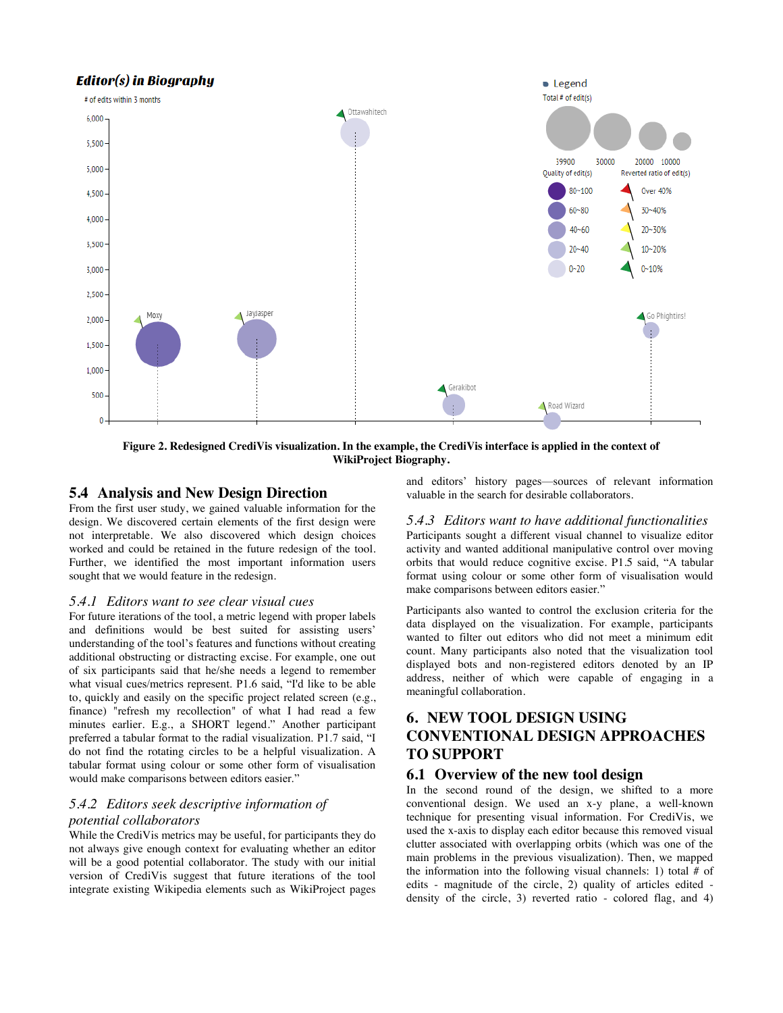

**Figure 2. Redesigned CrediVis visualization. In the example, the CrediVis interface is applied in the context of WikiProject Biography.**

#### **5.4 Analysis and New Design Direction**

From the first user study, we gained valuable information for the design. We discovered certain elements of the first design were not interpretable. We also discovered which design choices worked and could be retained in the future redesign of the tool. Further, we identified the most important information users sought that we would feature in the redesign.

#### *5.4.1 Editors want to see clear visual cues*

For future iterations of the tool, a metric legend with proper labels and definitions would be best suited for assisting users' understanding of the tool's features and functions without creating additional obstructing or distracting excise. For example, one out of six participants said that he/she needs a legend to remember what visual cues/metrics represent. P1.6 said, "I'd like to be able to, quickly and easily on the specific project related screen (e.g., finance) "refresh my recollection" of what I had read a few minutes earlier. E.g., a SHORT legend." Another participant preferred a tabular format to the radial visualization. P1.7 said, "I do not find the rotating circles to be a helpful visualization. A tabular format using colour or some other form of visualisation would make comparisons between editors easier."

#### *5.4.2 Editors seek descriptive information of potential collaborators*

While the CrediVis metrics may be useful, for participants they do not always give enough context for evaluating whether an editor will be a good potential collaborator. The study with our initial version of CrediVis suggest that future iterations of the tool integrate existing Wikipedia elements such as WikiProject pages and editors' history pages—sources of relevant information valuable in the search for desirable collaborators.

#### *5.4.3 Editors want to have additional functionalities*

Participants sought a different visual channel to visualize editor activity and wanted additional manipulative control over moving orbits that would reduce cognitive excise. P1.5 said, "A tabular format using colour or some other form of visualisation would make comparisons between editors easier."

Participants also wanted to control the exclusion criteria for the data displayed on the visualization. For example, participants wanted to filter out editors who did not meet a minimum edit count. Many participants also noted that the visualization tool displayed bots and non-registered editors denoted by an IP address, neither of which were capable of engaging in a meaningful collaboration.

# **6. NEW TOOL DESIGN USING CONVENTIONAL DESIGN APPROACHES TO SUPPORT**

### **6.1 Overview of the new tool design**

In the second round of the design, we shifted to a more conventional design. We used an x-y plane, a well-known technique for presenting visual information. For CrediVis, we used the x-axis to display each editor because this removed visual clutter associated with overlapping orbits (which was one of the main problems in the previous visualization). Then, we mapped the information into the following visual channels: 1) total  $#$  of edits - magnitude of the circle, 2) quality of articles edited density of the circle, 3) reverted ratio - colored flag, and 4)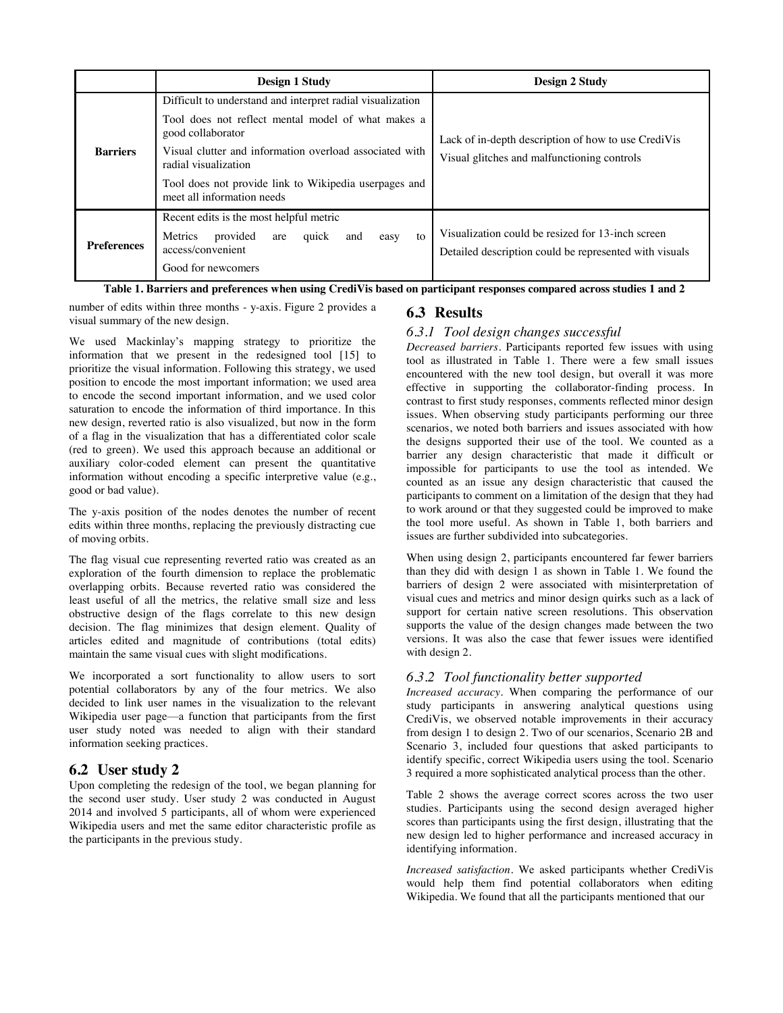|                    | Design 1 Study                                                                                                                                                                                                                                                                                                  | Design 2 Study                                                                                              |
|--------------------|-----------------------------------------------------------------------------------------------------------------------------------------------------------------------------------------------------------------------------------------------------------------------------------------------------------------|-------------------------------------------------------------------------------------------------------------|
| <b>Barriers</b>    | Difficult to understand and interpret radial visualization<br>Tool does not reflect mental model of what makes a<br>good collaborator<br>Visual clutter and information overload associated with<br>radial visualization<br>Tool does not provide link to Wikipedia userpages and<br>meet all information needs | Lack of in-depth description of how to use CrediVis<br>Visual glitches and malfunctioning controls          |
| <b>Preferences</b> | Recent edits is the most helpful metric<br>Metrics<br>provided<br>quick<br>to<br>are<br>easy<br>and<br>access/convenient<br>Good for newcomers                                                                                                                                                                  | Visualization could be resized for 13-inch screen<br>Detailed description could be represented with visuals |

**Table 1. Barriers and preferences when using CrediVis based on participant responses compared across studies 1 and 2**

number of edits within three months - y-axis. Figure 2 provides a visual summary of the new design.

We used Mackinlay's mapping strategy to prioritize the information that we present in the redesigned tool [15] to prioritize the visual information. Following this strategy, we used position to encode the most important information; we used area to encode the second important information, and we used color saturation to encode the information of third importance. In this new design, reverted ratio is also visualized, but now in the form of a flag in the visualization that has a differentiated color scale (red to green). We used this approach because an additional or auxiliary color-coded element can present the quantitative information without encoding a specific interpretive value (e.g., good or bad value).

The y-axis position of the nodes denotes the number of recent edits within three months, replacing the previously distracting cue of moving orbits.

The flag visual cue representing reverted ratio was created as an exploration of the fourth dimension to replace the problematic overlapping orbits. Because reverted ratio was considered the least useful of all the metrics, the relative small size and less obstructive design of the flags correlate to this new design decision. The flag minimizes that design element. Quality of articles edited and magnitude of contributions (total edits) maintain the same visual cues with slight modifications.

We incorporated a sort functionality to allow users to sort potential collaborators by any of the four metrics. We also decided to link user names in the visualization to the relevant Wikipedia user page—a function that participants from the first user study noted was needed to align with their standard information seeking practices.

# **6.2 User study 2**

Upon completing the redesign of the tool, we began planning for the second user study. User study 2 was conducted in August 2014 and involved 5 participants, all of whom were experienced Wikipedia users and met the same editor characteristic profile as the participants in the previous study.

# **6.3 Results**

#### *6.3.1 Tool design changes successful*

*Decreased barriers.* Participants reported few issues with using tool as illustrated in Table 1. There were a few small issues encountered with the new tool design, but overall it was more effective in supporting the collaborator-finding process. In contrast to first study responses, comments reflected minor design issues. When observing study participants performing our three scenarios, we noted both barriers and issues associated with how the designs supported their use of the tool. We counted as a barrier any design characteristic that made it difficult or impossible for participants to use the tool as intended. We counted as an issue any design characteristic that caused the participants to comment on a limitation of the design that they had to work around or that they suggested could be improved to make the tool more useful. As shown in Table 1, both barriers and issues are further subdivided into subcategories.

When using design 2, participants encountered far fewer barriers than they did with design 1 as shown in Table 1. We found the barriers of design 2 were associated with misinterpretation of visual cues and metrics and minor design quirks such as a lack of support for certain native screen resolutions. This observation supports the value of the design changes made between the two versions. It was also the case that fewer issues were identified with design 2.

#### *6.3.2 Tool functionality better supported*

*Increased accuracy.* When comparing the performance of our study participants in answering analytical questions using CrediVis, we observed notable improvements in their accuracy from design 1 to design 2. Two of our scenarios, Scenario 2B and Scenario 3, included four questions that asked participants to identify specific, correct Wikipedia users using the tool. Scenario 3 required a more sophisticated analytical process than the other.

Table 2 shows the average correct scores across the two user studies. Participants using the second design averaged higher scores than participants using the first design, illustrating that the new design led to higher performance and increased accuracy in identifying information.

*Increased satisfaction.* We asked participants whether CrediVis would help them find potential collaborators when editing Wikipedia. We found that all the participants mentioned that our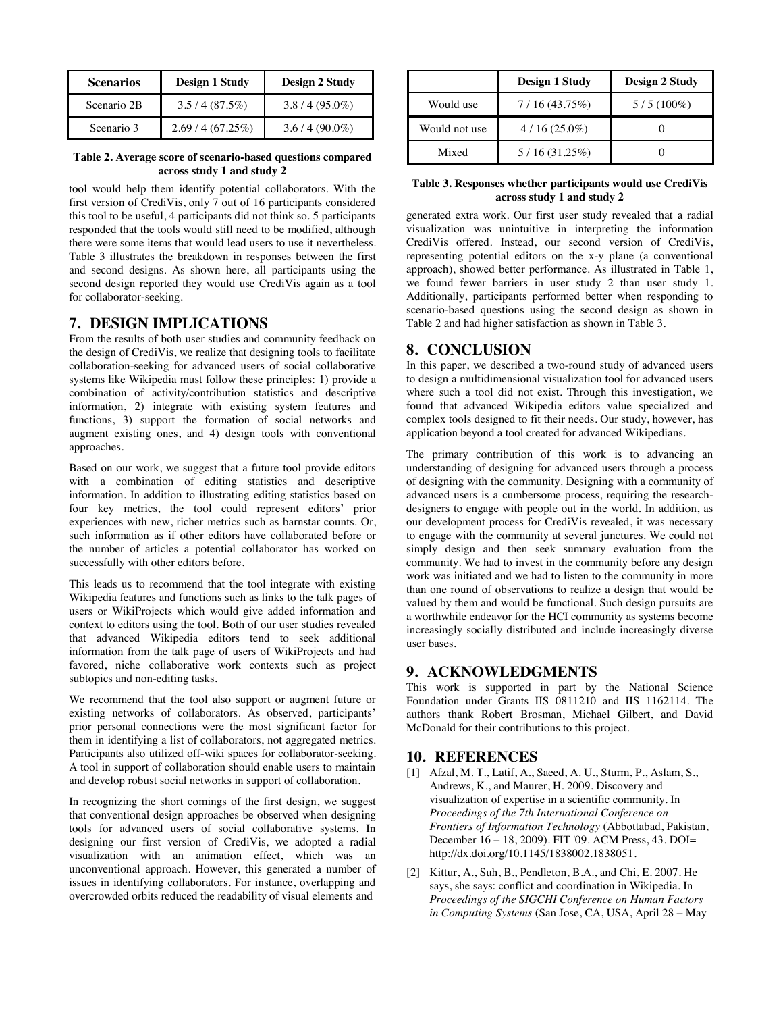| <b>Scenarios</b> | Design 1 Study | Design 2 Study  |
|------------------|----------------|-----------------|
| Scenario 2B      | 3.5/4(87.5%)   | $3.8/4(95.0\%)$ |
| Scenario 3       | 2.69/4(67.25%) | $3.6/4(90.0\%)$ |

**Table 2. Average score of scenario-based questions compared across study 1 and study 2** 

tool would help them identify potential collaborators. With the first version of CrediVis, only 7 out of 16 participants considered this tool to be useful, 4 participants did not think so. 5 participants responded that the tools would still need to be modified, although there were some items that would lead users to use it nevertheless. Table 3 illustrates the breakdown in responses between the first and second designs. As shown here, all participants using the second design reported they would use CrediVis again as a tool for collaborator-seeking.

## **7. DESIGN IMPLICATIONS**

From the results of both user studies and community feedback on the design of CrediVis, we realize that designing tools to facilitate collaboration-seeking for advanced users of social collaborative systems like Wikipedia must follow these principles: 1) provide a combination of activity/contribution statistics and descriptive information, 2) integrate with existing system features and functions, 3) support the formation of social networks and augment existing ones, and 4) design tools with conventional approaches.

Based on our work, we suggest that a future tool provide editors with a combination of editing statistics and descriptive information. In addition to illustrating editing statistics based on four key metrics, the tool could represent editors' prior experiences with new, richer metrics such as barnstar counts. Or, such information as if other editors have collaborated before or the number of articles a potential collaborator has worked on successfully with other editors before.

This leads us to recommend that the tool integrate with existing Wikipedia features and functions such as links to the talk pages of users or WikiProjects which would give added information and context to editors using the tool. Both of our user studies revealed that advanced Wikipedia editors tend to seek additional information from the talk page of users of WikiProjects and had favored, niche collaborative work contexts such as project subtopics and non-editing tasks.

We recommend that the tool also support or augment future or existing networks of collaborators. As observed, participants' prior personal connections were the most significant factor for them in identifying a list of collaborators, not aggregated metrics. Participants also utilized off-wiki spaces for collaborator-seeking. A tool in support of collaboration should enable users to maintain and develop robust social networks in support of collaboration.

In recognizing the short comings of the first design, we suggest that conventional design approaches be observed when designing tools for advanced users of social collaborative systems. In designing our first version of CrediVis, we adopted a radial visualization with an animation effect, which was an unconventional approach. However, this generated a number of issues in identifying collaborators. For instance, overlapping and overcrowded orbits reduced the readability of visual elements and

|               | Design 1 Study | Design 2 Study |
|---------------|----------------|----------------|
| Would use     | 7/16(43.75%)   | $5/5(100\%)$   |
| Would not use | $4/16(25.0\%)$ |                |
| Mixed         | 5/16(31.25%)   |                |

#### **Table 3. Responses whether participants would use CrediVis across study 1 and study 2**

generated extra work. Our first user study revealed that a radial visualization was unintuitive in interpreting the information CrediVis offered. Instead, our second version of CrediVis, representing potential editors on the x-y plane (a conventional approach), showed better performance. As illustrated in Table 1, we found fewer barriers in user study 2 than user study 1. Additionally, participants performed better when responding to scenario-based questions using the second design as shown in Table 2 and had higher satisfaction as shown in Table 3.

# **8. CONCLUSION**

In this paper, we described a two-round study of advanced users to design a multidimensional visualization tool for advanced users where such a tool did not exist. Through this investigation, we found that advanced Wikipedia editors value specialized and complex tools designed to fit their needs. Our study, however, has application beyond a tool created for advanced Wikipedians.

The primary contribution of this work is to advancing an understanding of designing for advanced users through a process of designing with the community. Designing with a community of advanced users is a cumbersome process, requiring the researchdesigners to engage with people out in the world. In addition, as our development process for CrediVis revealed, it was necessary to engage with the community at several junctures. We could not simply design and then seek summary evaluation from the community. We had to invest in the community before any design work was initiated and we had to listen to the community in more than one round of observations to realize a design that would be valued by them and would be functional. Such design pursuits are a worthwhile endeavor for the HCI community as systems become increasingly socially distributed and include increasingly diverse user bases.

# **9. ACKNOWLEDGMENTS**

This work is supported in part by the National Science Foundation under Grants IIS 0811210 and IIS 1162114. The authors thank Robert Brosman, Michael Gilbert, and David McDonald for their contributions to this project.

#### **10. REFERENCES**

- [1] Afzal, M. T., Latif, A., Saeed, A. U., Sturm, P., Aslam, S., Andrews, K., and Maurer, H. 2009. Discovery and visualization of expertise in a scientific community. In *Proceedings of the 7th International Conference on Frontiers of Information Technology* (Abbottabad, Pakistan, December 16 – 18, 2009). FIT '09. ACM Press, 43. DOI= http://dx.doi.org/10.1145/1838002.1838051.
- [2] Kittur, A., Suh, B., Pendleton, B.A., and Chi, E. 2007. He says, she says: conflict and coordination in Wikipedia. In *Proceedings of the SIGCHI Conference on Human Factors in Computing Systems* (San Jose, CA, USA, April 28 – May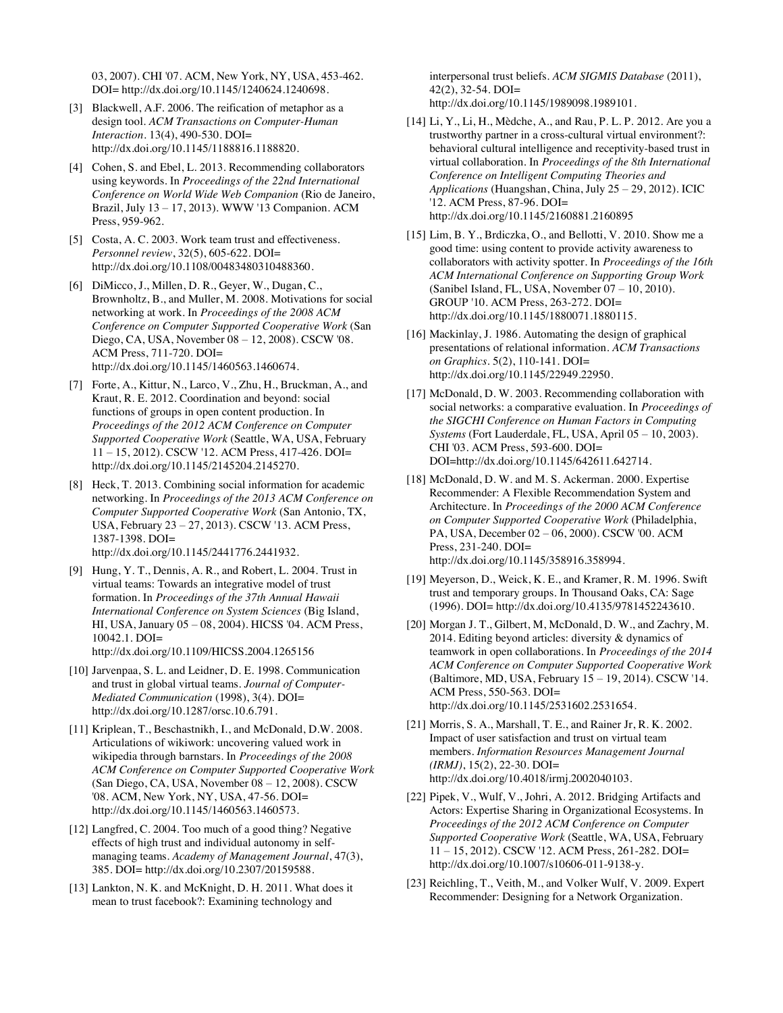03, 2007). CHI '07. ACM, New York, NY, USA, 453-462. DOI= http://dx.doi.org/10.1145/1240624.1240698.

- [3] Blackwell, A.F. 2006. The reification of metaphor as a design tool. *ACM Transactions on Computer-Human Interaction*. 13(4), 490-530. DOI= http://dx.doi.org/10.1145/1188816.1188820.
- [4] Cohen, S. and Ebel, L. 2013. Recommending collaborators using keywords. In *Proceedings of the 22nd International Conference on World Wide Web Companion* (Rio de Janeiro, Brazil, July 13 – 17, 2013). WWW '13 Companion. ACM Press, 959-962.
- [5] Costa, A. C. 2003. Work team trust and effectiveness. *Personnel review*, 32(5), 605-622. DOI= http://dx.doi.org/10.1108/00483480310488360.
- [6] DiMicco, J., Millen, D. R., Geyer, W., Dugan, C., Brownholtz, B., and Muller, M. 2008. Motivations for social networking at work. In *Proceedings of the 2008 ACM Conference on Computer Supported Cooperative Work* (San Diego, CA, USA, November 08 – 12, 2008)*.* CSCW '08. ACM Press, 711-720. DOI= http://dx.doi.org/10.1145/1460563.1460674.
- [7] Forte, A., Kittur, N., Larco, V., Zhu, H., Bruckman, A., and Kraut, R. E. 2012. Coordination and beyond: social functions of groups in open content production. In *Proceedings of the 2012 ACM Conference on Computer Supported Cooperative Work* (Seattle, WA, USA, February 11 – 15, 2012)*.* CSCW '12. ACM Press, 417-426. DOI= http://dx.doi.org/10.1145/2145204.2145270.
- [8] Heck, T. 2013. Combining social information for academic networking. In *Proceedings of the 2013 ACM Conference on Computer Supported Cooperative Work* (San Antonio, TX, USA, February 23 – 27, 2013)*.* CSCW '13. ACM Press, 1387-1398. DOI= http://dx.doi.org/10.1145/2441776.2441932.
- [9] Hung, Y. T., Dennis, A. R., and Robert, L. 2004. Trust in virtual teams: Towards an integrative model of trust formation. In *Proceedings of the 37th Annual Hawaii International Conference on System Sciences* (Big Island, HI, USA, January 05 – 08, 2004)*.* HICSS '04. ACM Press, 10042.1. DOI= http://dx.doi.org/10.1109/HICSS.2004.1265156
- [10] Jarvenpaa, S. L. and Leidner, D. E. 1998. Communication and trust in global virtual teams. *Journal of Computer-Mediated Communication* (1998), 3(4). DOI= http://dx.doi.org/10.1287/orsc.10.6.791.
- [11] Kriplean, T., Beschastnikh, I., and McDonald, D.W. 2008. Articulations of wikiwork: uncovering valued work in wikipedia through barnstars. In *Proceedings of the 2008 ACM Conference on Computer Supported Cooperative Work*  (San Diego, CA, USA, November 08 – 12, 2008)*.* CSCW '08. ACM, New York, NY, USA, 47-56. DOI= http://dx.doi.org/10.1145/1460563.1460573.
- [12] Langfred, C. 2004. Too much of a good thing? Negative effects of high trust and individual autonomy in selfmanaging teams. *Academy of Management Journal*, 47(3), 385. DOI= http://dx.doi.org/10.2307/20159588.
- [13] Lankton, N. K. and McKnight, D. H. 2011. What does it mean to trust facebook?: Examining technology and

interpersonal trust beliefs. *ACM SIGMIS Database* (2011), 42(2), 32-54. DOI= http://dx.doi.org/10.1145/1989098.1989101.

- [14] Li, Y., Li, H., Mèdche, A., and Rau, P. L. P. 2012. Are you a trustworthy partner in a cross-cultural virtual environment?: behavioral cultural intelligence and receptivity-based trust in virtual collaboration. In *Proceedings of the 8th International Conference on Intelligent Computing Theories and Applications* (Huangshan, China, July 25 – 29, 2012). ICIC '12. ACM Press, 87-96. DOI= http://dx.doi.org/10.1145/2160881.2160895
- [15] Lim, B. Y., Brdiczka, O., and Bellotti, V. 2010. Show me a good time: using content to provide activity awareness to collaborators with activity spotter. In *Proceedings of the 16th ACM International Conference on Supporting Group Work*  (Sanibel Island, FL, USA, November 07 – 10, 2010)*.* GROUP '10. ACM Press, 263-272. DOI= http://dx.doi.org/10.1145/1880071.1880115.
- [16] Mackinlay, J. 1986. Automating the design of graphical presentations of relational information. *ACM Transactions on Graphics.* 5(2), 110-141. DOI= http://dx.doi.org/10.1145/22949.22950.
- [17] McDonald, D. W. 2003. Recommending collaboration with social networks: a comparative evaluation. In *Proceedings of the SIGCHI Conference on Human Factors in Computing Systems* (Fort Lauderdale, FL, USA, April 05 – 10, 2003). CHI '03. ACM Press, 593-600. DOI= DOI=http://dx.doi.org/10.1145/642611.642714.
- [18] McDonald, D. W. and M. S. Ackerman. 2000. Expertise Recommender: A Flexible Recommendation System and Architecture. In *Proceedings of the 2000 ACM Conference on Computer Supported Cooperative Work* (Philadelphia, PA, USA, December 02 – 06, 2000)*.* CSCW '00. ACM Press, 231-240. DOI= http://dx.doi.org/10.1145/358916.358994.
- [19] Meyerson, D., Weick, K. E., and Kramer, R. M. 1996. Swift trust and temporary groups. In Thousand Oaks, CA: Sage (1996). DOI= http://dx.doi.org/10.4135/9781452243610.
- [20] Morgan J. T., Gilbert, M, McDonald, D. W., and Zachry, M. 2014. Editing beyond articles: diversity & dynamics of teamwork in open collaborations. In *Proceedings of the 2014 ACM Conference on Computer Supported Cooperative Work*  (Baltimore, MD, USA, February 15 – 19, 2014). CSCW '14. ACM Press, 550-563. DOI= http://dx.doi.org/10.1145/2531602.2531654.
- [21] Morris, S. A., Marshall, T. E., and Rainer Jr, R. K. 2002. Impact of user satisfaction and trust on virtual team members. *Information Resources Management Journal (IRMJ)*, 15(2), 22-30. DOI= http://dx.doi.org/10.4018/irmj.2002040103.
- [22] Pipek, V., Wulf, V., Johri, A. 2012. Bridging Artifacts and Actors: Expertise Sharing in Organizational Ecosystems. In *Proceedings of the 2012 ACM Conference on Computer Supported Cooperative Work* (Seattle, WA, USA, February 11 – 15, 2012)*.* CSCW '12. ACM Press, 261-282. DOI= http://dx.doi.org/10.1007/s10606-011-9138-y.
- [23] Reichling, T., Veith, M., and Volker Wulf, V. 2009. Expert Recommender: Designing for a Network Organization.